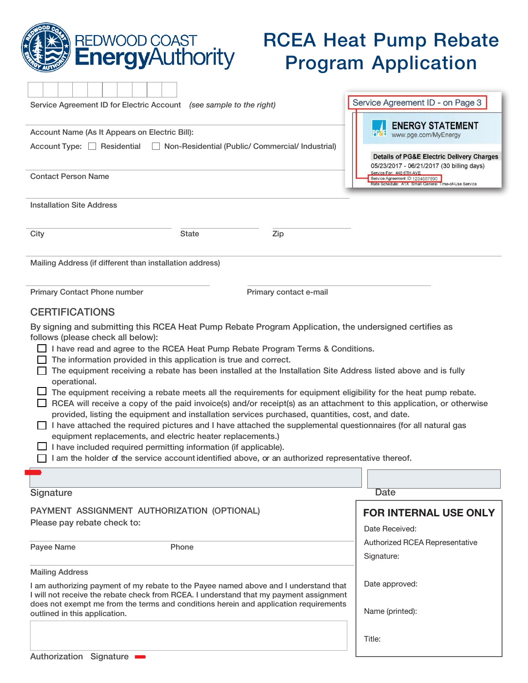| <b>REDWOOD COAST</b><br><b>EnergyAuthority</b>                                                                                                                                                                                                                                                                                                                                                                                                                                                                                                                                                                                                                                                                                                                                                                                                                                                                                                                                                                                                                                                                                                                                                                                              | <b>RCEA Heat Pump Rebate</b><br><b>Program Application</b>                                                                                                                                                               |  |  |  |  |  |  |  |  |  |
|---------------------------------------------------------------------------------------------------------------------------------------------------------------------------------------------------------------------------------------------------------------------------------------------------------------------------------------------------------------------------------------------------------------------------------------------------------------------------------------------------------------------------------------------------------------------------------------------------------------------------------------------------------------------------------------------------------------------------------------------------------------------------------------------------------------------------------------------------------------------------------------------------------------------------------------------------------------------------------------------------------------------------------------------------------------------------------------------------------------------------------------------------------------------------------------------------------------------------------------------|--------------------------------------------------------------------------------------------------------------------------------------------------------------------------------------------------------------------------|--|--|--|--|--|--|--|--|--|
| Service Agreement ID for Electric Account (see sample to the right)                                                                                                                                                                                                                                                                                                                                                                                                                                                                                                                                                                                                                                                                                                                                                                                                                                                                                                                                                                                                                                                                                                                                                                         | Service Agreement ID - on Page 3                                                                                                                                                                                         |  |  |  |  |  |  |  |  |  |
| Account Name (As It Appears on Electric Bill):<br>Account Type: □ Residential<br>Non-Residential (Public/ Commercial/ Industrial)                                                                                                                                                                                                                                                                                                                                                                                                                                                                                                                                                                                                                                                                                                                                                                                                                                                                                                                                                                                                                                                                                                           | <b>ENERGY STATEMENT</b><br>www.pge.com/MyEnergy                                                                                                                                                                          |  |  |  |  |  |  |  |  |  |
| <b>Contact Person Name</b>                                                                                                                                                                                                                                                                                                                                                                                                                                                                                                                                                                                                                                                                                                                                                                                                                                                                                                                                                                                                                                                                                                                                                                                                                  | <b>Details of PG&amp;E Electric Delivery Charges</b><br>05/23/2017 - 06/21/2017 (30 billing days)<br>Service For: 446 6TH AVE<br>Service Agreement ID:1234567890<br>Rate Schedule: A1X Small General Time-of-Use Service |  |  |  |  |  |  |  |  |  |
| <b>Installation Site Address</b>                                                                                                                                                                                                                                                                                                                                                                                                                                                                                                                                                                                                                                                                                                                                                                                                                                                                                                                                                                                                                                                                                                                                                                                                            |                                                                                                                                                                                                                          |  |  |  |  |  |  |  |  |  |
| City<br><b>State</b><br>Zip                                                                                                                                                                                                                                                                                                                                                                                                                                                                                                                                                                                                                                                                                                                                                                                                                                                                                                                                                                                                                                                                                                                                                                                                                 |                                                                                                                                                                                                                          |  |  |  |  |  |  |  |  |  |
| Mailing Address (if different than installation address)                                                                                                                                                                                                                                                                                                                                                                                                                                                                                                                                                                                                                                                                                                                                                                                                                                                                                                                                                                                                                                                                                                                                                                                    |                                                                                                                                                                                                                          |  |  |  |  |  |  |  |  |  |
| <b>Primary Contact Phone number</b><br>Primary contact e-mail<br><b>CERTIFICATIONS</b><br>By signing and submitting this RCEA Heat Pump Rebate Program Application, the undersigned certifies as<br>follows (please check all below):<br>I have read and agree to the RCEA Heat Pump Rebate Program Terms & Conditions.<br>The information provided in this application is true and correct.<br>The equipment receiving a rebate has been installed at the Installation Site Address listed above and is fully<br>operational.<br>The equipment receiving a rebate meets all the requirements for equipment eligibility for the heat pump rebate.<br>RCEA will receive a copy of the paid invoice(s) and/or receipt(s) as an attachment to this application, or otherwise<br>provided, listing the equipment and installation services purchased, quantities, cost, and date.<br>I have attached the required pictures and I have attached the supplemental questionnaires (for all natural gas<br>equipment replacements, and electric heater replacements.)<br>I have included required permitting information (if applicable).<br>ப<br>I am the holder of the service account identified above, or an authorized representative thereof. |                                                                                                                                                                                                                          |  |  |  |  |  |  |  |  |  |
| Signature                                                                                                                                                                                                                                                                                                                                                                                                                                                                                                                                                                                                                                                                                                                                                                                                                                                                                                                                                                                                                                                                                                                                                                                                                                   | <b>Date</b>                                                                                                                                                                                                              |  |  |  |  |  |  |  |  |  |
| PAYMENT ASSIGNMENT AUTHORIZATION (OPTIONAL)<br>Please pay rebate check to:                                                                                                                                                                                                                                                                                                                                                                                                                                                                                                                                                                                                                                                                                                                                                                                                                                                                                                                                                                                                                                                                                                                                                                  | <b>FOR INTERNAL USE ONLY</b><br>Date Received:                                                                                                                                                                           |  |  |  |  |  |  |  |  |  |
| Payee Name<br>Phone                                                                                                                                                                                                                                                                                                                                                                                                                                                                                                                                                                                                                                                                                                                                                                                                                                                                                                                                                                                                                                                                                                                                                                                                                         | Authorized RCEA Representative<br>Signature:                                                                                                                                                                             |  |  |  |  |  |  |  |  |  |
| <b>Mailing Address</b>                                                                                                                                                                                                                                                                                                                                                                                                                                                                                                                                                                                                                                                                                                                                                                                                                                                                                                                                                                                                                                                                                                                                                                                                                      |                                                                                                                                                                                                                          |  |  |  |  |  |  |  |  |  |
| I am authorizing payment of my rebate to the Payee named above and I understand that<br>I will not receive the rebate check from RCEA. I understand that my payment assignment<br>does not exempt me from the terms and conditions herein and application requirements<br>outlined in this application.                                                                                                                                                                                                                                                                                                                                                                                                                                                                                                                                                                                                                                                                                                                                                                                                                                                                                                                                     | Date approved:<br>Name (printed):                                                                                                                                                                                        |  |  |  |  |  |  |  |  |  |
| C <sub>1</sub><br>$A \cdot A$                                                                                                                                                                                                                                                                                                                                                                                                                                                                                                                                                                                                                                                                                                                                                                                                                                                                                                                                                                                                                                                                                                                                                                                                               | Title:                                                                                                                                                                                                                   |  |  |  |  |  |  |  |  |  |

 $\left(\right)$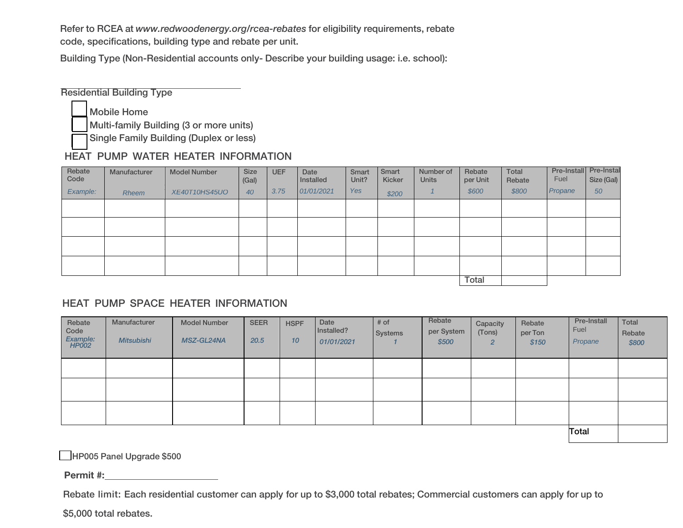Refer to RCEA at [www.redwoodenergy.org/rcea-rebates](http://www.redwoodenergy.org/rcea-rebates) for eligibility requirements, rebate code, specifications, building type and rebate per unit.

Building Type (Non-Residential accounts only- Describe your building usage: i.e. school):

Residential Building Type

Mobile Home

Multi-family Building (3 or more units)

Single Family Building (Duplex or less)

## HEAT PUMP WATER HEATER INFORMATION

| Rebate<br>Code | Manufacturer | <b>Model Number</b> | Size<br>(Gal) | <b>UEF</b> | Date<br>Installed | Smart<br>Unit? | Smart<br>Kicker | Number of<br><b>Units</b> | Rebate<br>per Unit | <b>Total</b><br>Rebate | Pre-Install<br>Fuel | Pre-Instal<br>Size (Gal) |
|----------------|--------------|---------------------|---------------|------------|-------------------|----------------|-----------------|---------------------------|--------------------|------------------------|---------------------|--------------------------|
| Example:       | Rheem        | XE40T10HS45UO       | 40            | 3.75       | 01/01/2021        | <b>Yes</b>     | \$200           |                           | \$600              | \$800                  | Propane             | 50                       |
|                |              |                     |               |            |                   |                |                 |                           |                    |                        |                     |                          |
|                |              |                     |               |            |                   |                |                 |                           |                    |                        |                     |                          |
|                |              |                     |               |            |                   |                |                 |                           |                    |                        |                     |                          |
|                |              |                     |               |            |                   |                |                 |                           |                    |                        |                     |                          |
|                |              |                     |               |            |                   |                |                 |                           | <b>Total</b>       |                        |                     |                          |

## HEAT PUMP SPACE HEATER INFORMATION

| Rebate<br>Code<br>Example:<br>HP002 | Manufacturer<br><b>Mitsubishi</b> | <b>Model Number</b><br>MSZ-GL24NA | <b>SEER</b><br>20.5 | <b>HSPF</b><br>10 | Date<br>Installed?<br>01/01/2021 | # of<br>Systems | Rebate<br>per System<br>\$500 | Capacity<br>(Tons)<br>$\overline{2}$ | Rebate<br>per Ton<br>\$150 | Pre-Install<br>Fuel<br>Propane | <b>Total</b><br>Rebate<br>\$800 |
|-------------------------------------|-----------------------------------|-----------------------------------|---------------------|-------------------|----------------------------------|-----------------|-------------------------------|--------------------------------------|----------------------------|--------------------------------|---------------------------------|
|                                     |                                   |                                   |                     |                   |                                  |                 |                               |                                      |                            |                                |                                 |
|                                     |                                   |                                   |                     |                   |                                  |                 |                               |                                      |                            |                                |                                 |
|                                     |                                   |                                   |                     |                   |                                  |                 |                               |                                      |                            |                                |                                 |
|                                     |                                   |                                   |                     |                   |                                  |                 |                               |                                      | Total                      |                                |                                 |

HP005 Panel Upgrade \$500

Permit #:

Rebate limit: Each residential customer can apply for up to \$3,000 total rebates; Commercial customers can apply for up to

\$5,000 total rebates.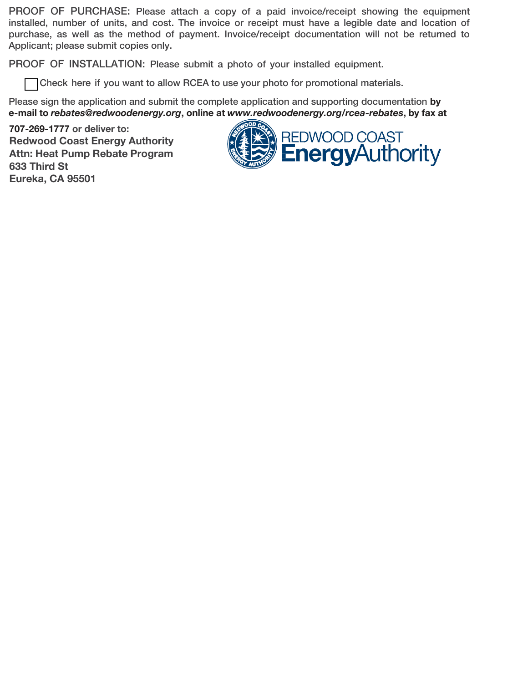PROOF OF PURCHASE: Please attach a copy of a paid invoice/receipt showing the equipment installed, number of units, and cost. The invoice or receipt must have a legible date and location of purchase, as well as the method of payment. Invoice/receipt documentation will not be returned to Applicant; please submit copies only.

PROOF OF INSTALLATION: Please submit a photo of your installed equipment.

Check here if you want to allow RCEA to use your photo for promotional materials.

Please sign the application and submit the complete application and supporting documentation by e-mail to [rebates@redwoodenergy.org](mailto:rebates@redwoodenergy.org), online at [www.redwoodenergy.org/rcea-rebates](http://www.redwoodenergy.org/rcea-rebates), by fax at

707-269-1777 or deliver to: Redwood Coast Energy Authority Attn: Heat Pump Rebate Program 633 Third St Eureka, CA 95501

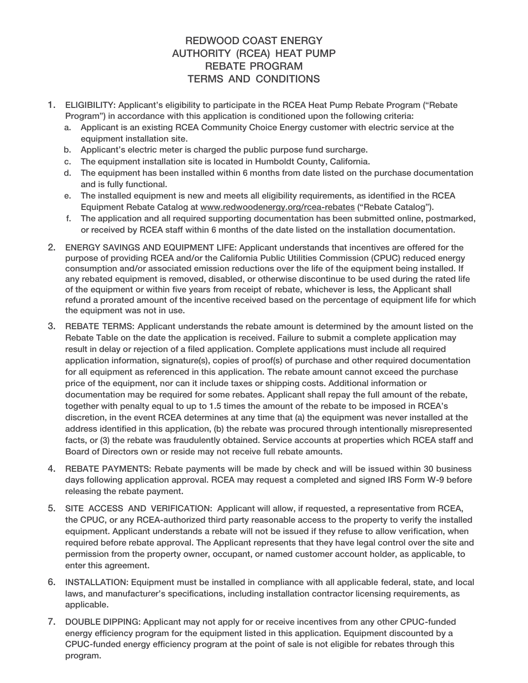## REDWOOD COAST ENERGY AUTHORITY (RCEA) HEAT PUMP REBATE PROGRAM TERMS AND CONDITIONS

- 1. ELIGIBILITY: Applicant's eligibility to participate in the RCEA Heat Pump Rebate Program ("Rebate Program") in accordance with this application is conditioned upon the following criteria:
	- a. Applicant is an existing RCEA Community Choice Energy customer with electric service at the equipment installation site.
	- b. Applicant's electric meter is charged the public purpose fund surcharge.
	- c. The equipment installation site is located in Humboldt County, California.
	- d. The equipment has been installed within 6 months from date listed on the purchase documentation and is fully functional.
	- e. The installed equipment is new and meets all eligibility requirements, as identified in the RCEA Equipment Rebate Catalog at [www.redwoodenergy.org/rcea-rebates](http://www.redwoodenergy.org/rcea-rebates) ("Rebate Catalog").
	- f. The application and all required supporting documentation has been submitted online, postmarked, or received by RCEA staff within 6 months of the date listed on the installation documentation.
- 2. ENERGY SAVINGS AND EQUIPMENT LIFE: Applicant understands that incentives are offered for the purpose of providing RCEA and/or the California Public Utilities Commission (CPUC) reduced energy consumption and/or associated emission reductions over the life of the equipment being installed. If any rebated equipment is removed, disabled, or otherwise discontinue to be used during the rated life of the equipment or within five years from receipt of rebate, whichever is less, the Applicant shall refund a prorated amount of the incentive received based on the percentage of equipment life for which the equipment was not in use.
- 3. REBATE TERMS: Applicant understands the rebate amount is determined by the amount listed on the Rebate Table on the date the application is received. Failure to submit a complete application may result in delay or rejection of a filed application. Complete applications must include all required application information, signature(s), copies of proof(s) of purchase and other required documentation for all equipment as referenced in this application. The rebate amount cannot exceed the purchase price of the equipment, nor can it include taxes or shipping costs. Additional information or documentation may be required for some rebates. Applicant shall repay the full amount of the rebate, together with penalty equal to up to 1.5 times the amount of the rebate to be imposed in RCEA's discretion, in the event RCEA determines at any time that (a) the equipment was never installed at the address identified in this application, (b) the rebate was procured through intentionally misrepresented facts, or (3) the rebate was fraudulently obtained. Service accounts at properties which RCEA staff and Board of Directors own or reside may not receive full rebate amounts.
- 4. REBATE PAYMENTS: Rebate payments will be made by check and will be issued within 30 business days following application approval. RCEA may request a completed and signed IRS Form W-9 before releasing the rebate payment.
- 5. SITE ACCESS AND VERIFICATION: Applicant will allow, if requested, a representative from RCEA, the CPUC, or any RCEA-authorized third party reasonable access to the property to verify the installed equipment. Applicant understands a rebate will not be issued if they refuse to allow verification, when required before rebate approval. The Applicant represents that they have legal control over the site and permission from the property owner, occupant, or named customer account holder, as applicable, to enter this agreement.
- 6. INSTALLATION: Equipment must be installed in compliance with all applicable federal, state, and local laws, and manufacturer's specifications, including installation contractor licensing requirements, as applicable.
- 7. DOUBLE DIPPING: Applicant may not apply for or receive incentives from any other CPUC-funded energy efficiency program for the equipment listed in this application. Equipment discounted by a CPUC-funded energy efficiency program at the point of sale is not eligible for rebates through this program.